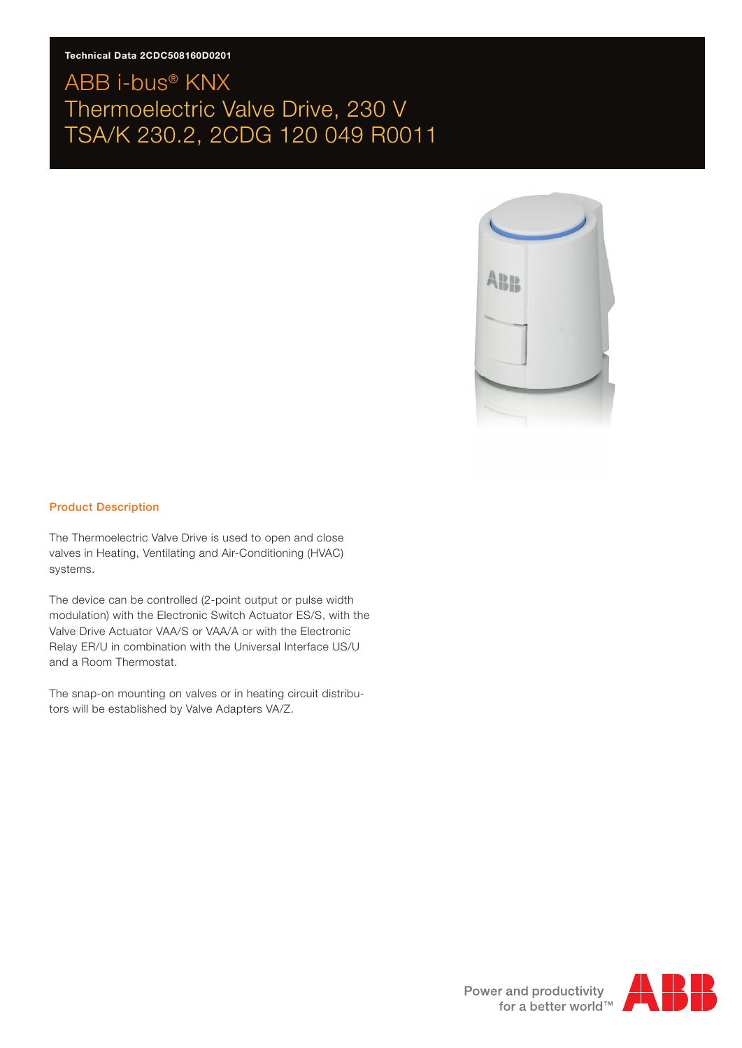### **Technical Data 2CDC508160D0201**

### ABB i-bus® KNX Thermoelectric Valve Drive, 230 V TSA/K 230.2, 2CDG 120 049 R0011



#### Product Description

The Thermoelectric Valve Drive is used to open and close valves in Heating, Ventilating and Air-Conditioning (HVAC) systems.

The device can be controlled (2-point output or pulse width modulation) with the Electronic Switch Actuator ES/S, with the Valve Drive Actuator VAA/S or VAA/A or with the Electronic Relay ER/U in combination with the Universal Interface US/U and a Room Thermostat.

The snap-on mounting on valves or in heating circuit distributors will be established by Valve Adapters VA/Z.

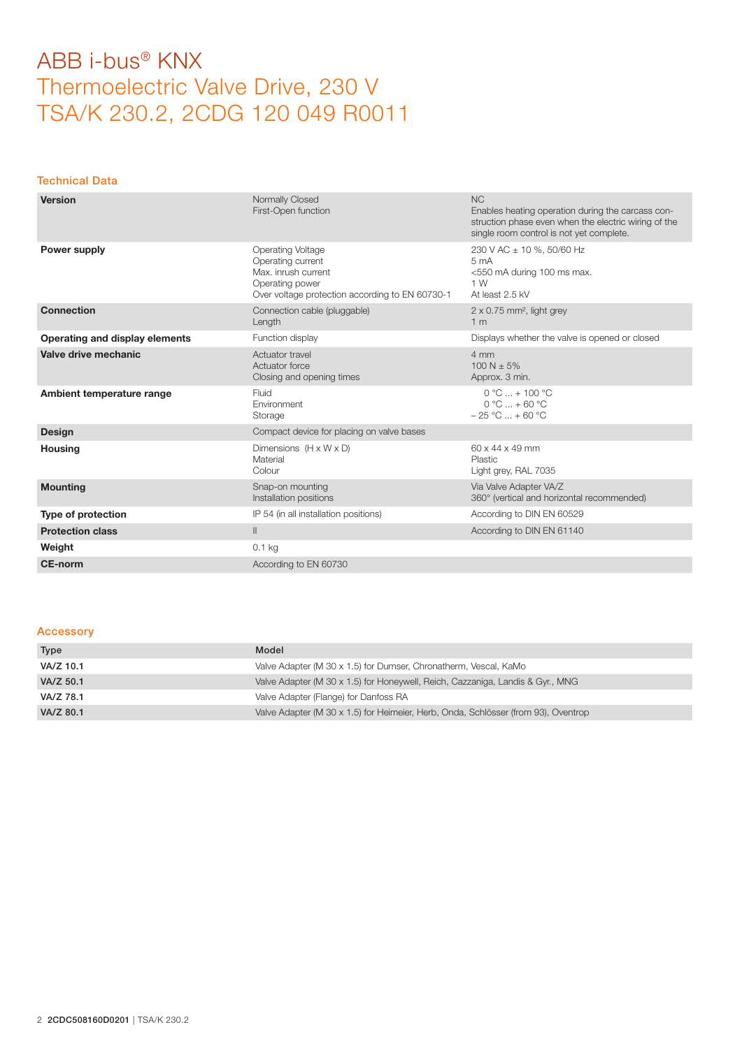#### Technical Data

| <b>Version</b>                 | Normally Closed<br>First-Open function                                                                                                     | <b>NC</b><br>Enables heating operation during the carcass con-<br>struction phase even when the electric wiring of the<br>single room control is not yet complete. |
|--------------------------------|--------------------------------------------------------------------------------------------------------------------------------------------|--------------------------------------------------------------------------------------------------------------------------------------------------------------------|
| Power supply                   | <b>Operating Voltage</b><br>Operating current<br>Max. inrush current<br>Operating power<br>Over voltage protection according to EN 60730-1 | 230 V AC ± 10 %, 50/60 Hz<br>5 <sub>mA</sub><br><550 mA during 100 ms max.<br>1 W<br>At least 2.5 kV                                                               |
| <b>Connection</b>              | Connection cable (pluggable)<br>Length                                                                                                     | $2 \times 0.75$ mm <sup>2</sup> , light grey<br>1 <sub>m</sub>                                                                                                     |
| Operating and display elements | Function display                                                                                                                           | Displays whether the valve is opened or closed                                                                                                                     |
| Valve drive mechanic           | Actuator travel<br>Actuator force<br>Closing and opening times                                                                             | 4 mm<br>$100 N + 5%$<br>Approx. 3 min.                                                                                                                             |
| Ambient temperature range      | Fluid<br>Environment<br>Storage                                                                                                            | $0 °C  + 100 °C$<br>$0 °C  + 60 °C$<br>$-25 °C  + 60 °C$                                                                                                           |
| <b>Design</b>                  | Compact device for placing on valve bases                                                                                                  |                                                                                                                                                                    |
| <b>Housing</b>                 | Dimensions $(H \times W \times D)$<br>Material<br>Colour                                                                                   | $60 \times 44 \times 49$ mm<br>Plastic<br>Light grey, RAL 7035                                                                                                     |
| <b>Mounting</b>                | Snap-on mounting<br>Installation positions                                                                                                 | Via Valve Adapter VA/Z<br>360° (vertical and horizontal recommended)                                                                                               |
| Type of protection             | IP 54 (in all installation positions)                                                                                                      | According to DIN EN 60529                                                                                                                                          |
| <b>Protection class</b>        | $\parallel$                                                                                                                                | According to DIN EN 61140                                                                                                                                          |
| Weight                         | $0.1$ kg                                                                                                                                   |                                                                                                                                                                    |
| <b>CE-norm</b>                 | According to EN 60730                                                                                                                      |                                                                                                                                                                    |

### Accessory

| Type      | Model                                                                              |
|-----------|------------------------------------------------------------------------------------|
| VA/Z 10.1 | Valve Adapter (M 30 x 1.5) for Dumser, Chronatherm, Vescal, KaMo                   |
| VA/Z 50.1 | Valve Adapter (M 30 x 1.5) for Honeywell, Reich, Cazzaniga, Landis & Gyr., MNG     |
| VA/Z 78.1 | Valve Adapter (Flange) for Danfoss RA                                              |
| VA/Z 80.1 | Valve Adapter (M 30 x 1.5) for Heimeier, Herb, Onda, Schlösser (from 93), Oventrop |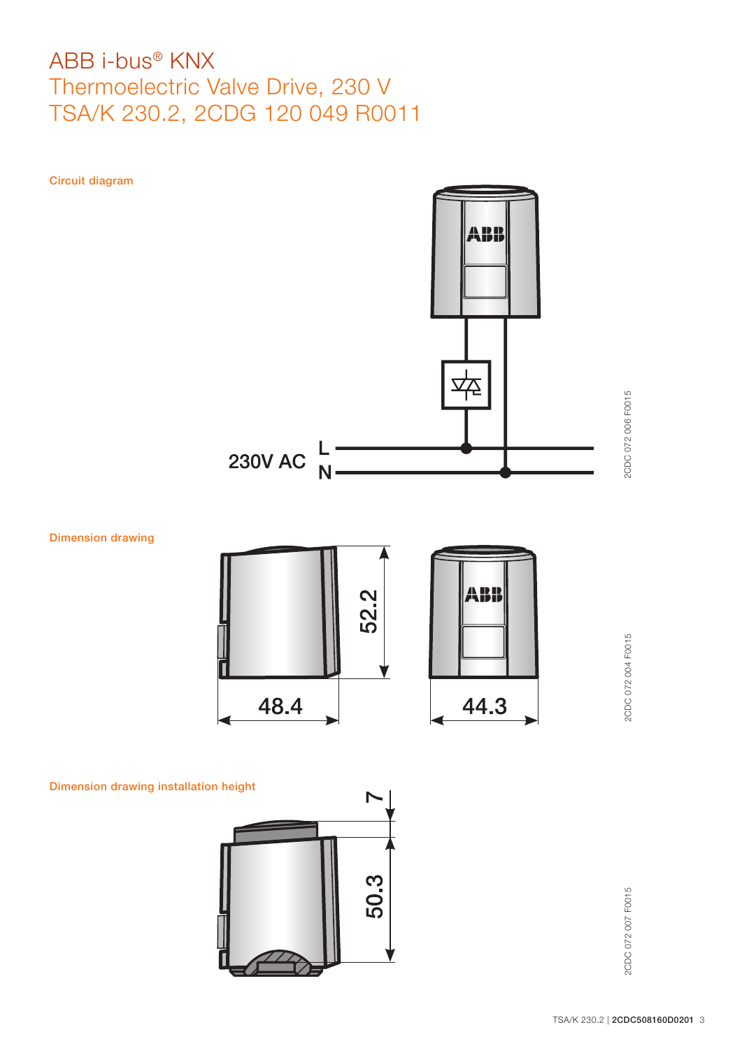



ABI

44.3

Dimension drawing







2CDC 072 004 F0015

2CDC 072 004 F0015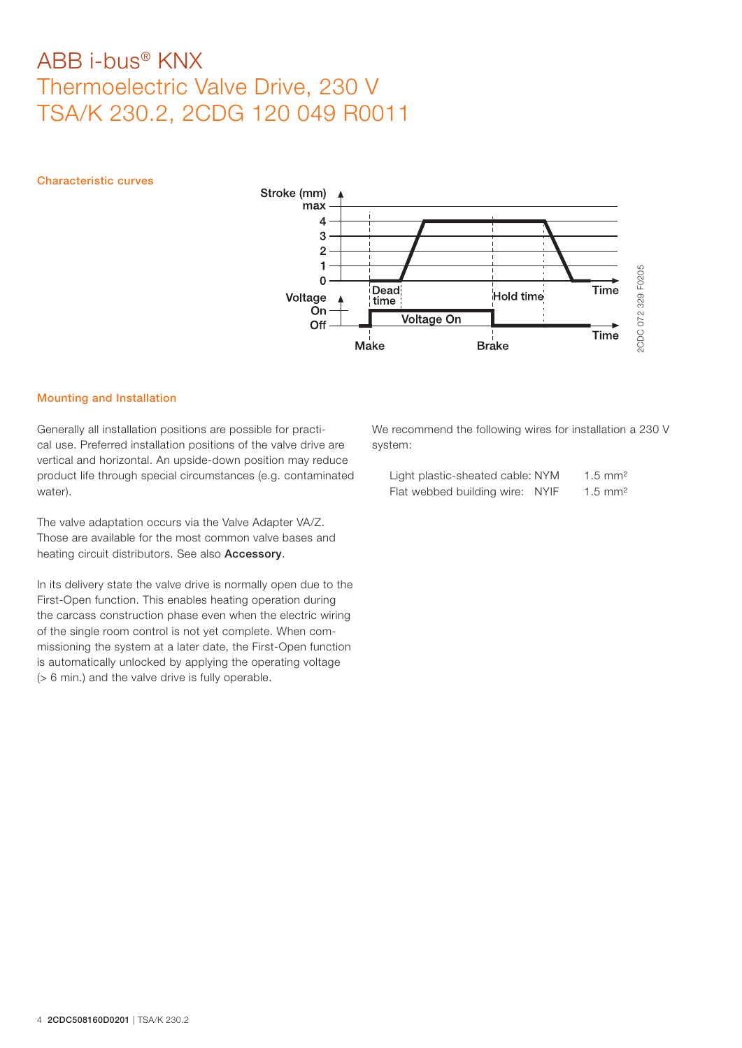Characteristic curves



### Mounting and Installation

Generally all installation positions are possible for practical use. Preferred installation positions of the valve drive are vertical and horizontal. An upside-down position may reduce product life through special circumstances (e.g. contaminated water).

The valve adaptation occurs via the Valve Adapter VA/Z. Those are available for the most common valve bases and heating circuit distributors. See also Accessory.

In its delivery state the valve drive is normally open due to the First-Open function. This enables heating operation during the carcass construction phase even when the electric wiring of the single room control is not yet complete. When commissioning the system at a later date, the First-Open function is automatically unlocked by applying the operating voltage (> 6 min.) and the valve drive is fully operable.

We recommend the following wires for installation a 230 V system:

| Light plastic-sheated cable: NYM |  | $1.5 \text{ mm}^2$ |
|----------------------------------|--|--------------------|
| Flat webbed building wire: NYIF  |  | $1.5 \text{ mm}^2$ |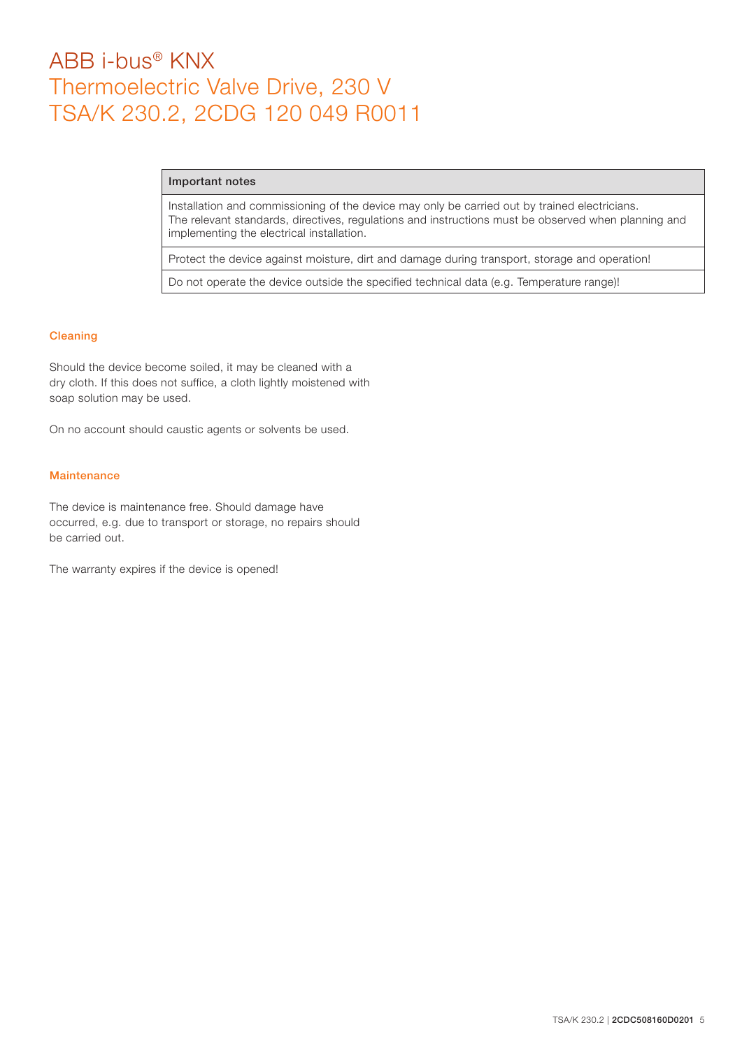#### Important notes

Installation and commissioning of the device may only be carried out by trained electricians. The relevant standards, directives, regulations and instructions must be observed when planning and implementing the electrical installation.

Protect the device against moisture, dirt and damage during transport, storage and operation!

Do not operate the device outside the specified technical data (e.g. Temperature range)!

### Cleaning

Should the device become soiled, it may be cleaned with a dry cloth. If this does not suffice, a cloth lightly moistened with soap solution may be used.

On no account should caustic agents or solvents be used.

### **Maintenance**

The device is maintenance free. Should damage have occurred, e.g. due to transport or storage, no repairs should be carried out.

The warranty expires if the device is opened!